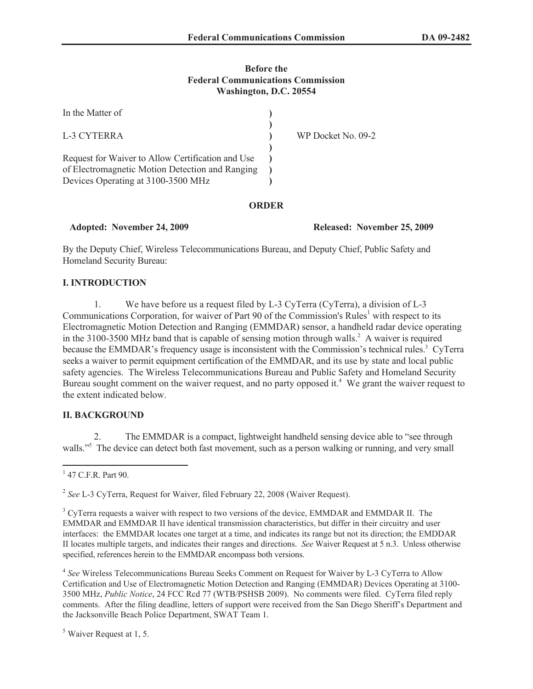#### **Before the Federal Communications Commission Washington, D.C. 20554**

| In the Matter of                                                                                                                           |                    |
|--------------------------------------------------------------------------------------------------------------------------------------------|--------------------|
| L-3 CYTERRA                                                                                                                                | WP Docket No. 09-2 |
| Request for Waiver to Allow Certification and Use<br>of Electromagnetic Motion Detection and Ranging<br>Devices Operating at 3100-3500 MHz |                    |

#### **ORDER**

**Adopted: November 24, 2009 Released: November 25, 2009**

By the Deputy Chief, Wireless Telecommunications Bureau, and Deputy Chief, Public Safety and Homeland Security Bureau:

## **I. INTRODUCTION**

1. We have before us a request filed by L-3 CyTerra (CyTerra), a division of L-3 Communications Corporation, for waiver of Part 90 of the Commission's Rules<sup>1</sup> with respect to its Electromagnetic Motion Detection and Ranging (EMMDAR) sensor, a handheld radar device operating in the  $3100-3500$  MHz band that is capable of sensing motion through walls.<sup>2</sup> A waiver is required because the EMMDAR's frequency usage is inconsistent with the Commission's technical rules.<sup>3</sup> CyTerra seeks a waiver to permit equipment certification of the EMMDAR, and its use by state and local public safety agencies. The Wireless Telecommunications Bureau and Public Safety and Homeland Security Bureau sought comment on the waiver request, and no party opposed it.<sup>4</sup> We grant the waiver request to the extent indicated below.

## **II. BACKGROUND**

2. The EMMDAR is a compact, lightweight handheld sensing device able to "see through walls."<sup>5</sup> The device can detect both fast movement, such as a person walking or running, and very small

4 *See* Wireless Telecommunications Bureau Seeks Comment on Request for Waiver by L-3 CyTerra to Allow Certification and Use of Electromagnetic Motion Detection and Ranging (EMMDAR) Devices Operating at 3100- 3500 MHz, *Public Notice*, 24 FCC Rcd 77 (WTB/PSHSB 2009). No comments were filed. CyTerra filed reply comments. After the filing deadline, letters of support were received from the San Diego Sheriff's Department and the Jacksonville Beach Police Department, SWAT Team 1.

<sup>5</sup> Waiver Request at 1, 5.

<sup>&</sup>lt;sup>1</sup> 47 C.F.R. Part 90.

<sup>2</sup> *See* L-3 CyTerra, Request for Waiver, filed February 22, 2008 (Waiver Request).

<sup>&</sup>lt;sup>3</sup> CyTerra requests a waiver with respect to two versions of the device, EMMDAR and EMMDAR II. The EMMDAR and EMMDAR II have identical transmission characteristics, but differ in their circuitry and user interfaces: the EMMDAR locates one target at a time, and indicates its range but not its direction; the EMDDAR II locates multiple targets, and indicates their ranges and directions. *See* Waiver Request at 5 n.3. Unless otherwise specified, references herein to the EMMDAR encompass both versions.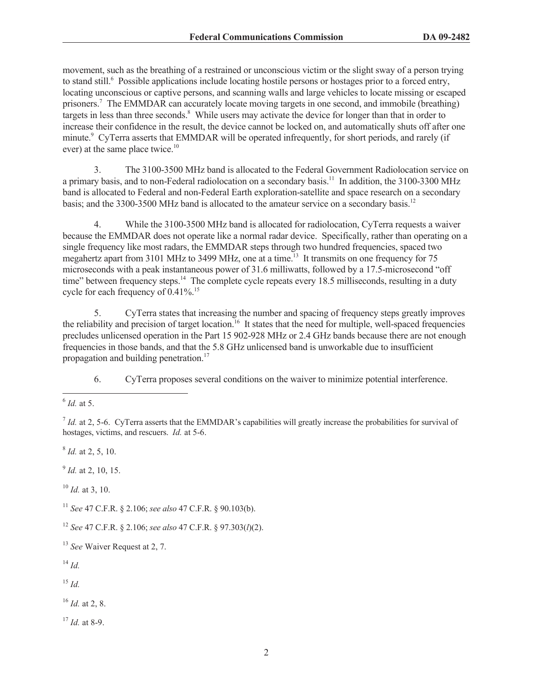movement, such as the breathing of a restrained or unconscious victim or the slight sway of a person trying to stand still.<sup>6</sup> Possible applications include locating hostile persons or hostages prior to a forced entry, locating unconscious or captive persons, and scanning walls and large vehicles to locate missing or escaped prisoners.<sup>7</sup> The EMMDAR can accurately locate moving targets in one second, and immobile (breathing) targets in less than three seconds.<sup>8</sup> While users may activate the device for longer than that in order to increase their confidence in the result, the device cannot be locked on, and automatically shuts off after one minute.<sup>9</sup> CyTerra asserts that EMMDAR will be operated infrequently, for short periods, and rarely (if ever) at the same place twice.<sup>10</sup>

3. The 3100-3500 MHz band is allocated to the Federal Government Radiolocation service on a primary basis, and to non-Federal radiolocation on a secondary basis.<sup>11</sup> In addition, the 3100-3300 MHz band is allocated to Federal and non-Federal Earth exploration-satellite and space research on a secondary basis; and the 3300-3500 MHz band is allocated to the amateur service on a secondary basis.<sup>12</sup>

4. While the 3100-3500 MHz band is allocated for radiolocation, CyTerra requests a waiver because the EMMDAR does not operate like a normal radar device. Specifically, rather than operating on a single frequency like most radars, the EMMDAR steps through two hundred frequencies, spaced two megahertz apart from 3101 MHz to 3499 MHz, one at a time.<sup>13</sup> It transmits on one frequency for 75 microseconds with a peak instantaneous power of 31.6 milliwatts, followed by a 17.5-microsecond "off time" between frequency steps.<sup>14</sup> The complete cycle repeats every 18.5 milliseconds, resulting in a duty cycle for each frequency of 0.41%.<sup>15</sup>

5. CyTerra states that increasing the number and spacing of frequency steps greatly improves the reliability and precision of target location.<sup>16</sup> It states that the need for multiple, well-spaced frequencies precludes unlicensed operation in the Part 15 902-928 MHz or 2.4 GHz bands because there are not enough frequencies in those bands, and that the 5.8 GHz unlicensed band is unworkable due to insufficient propagation and building penetration.<sup>17</sup>

6. CyTerra proposes several conditions on the waiver to minimize potential interference.

8 *Id.* at 2, 5, 10.

9 *Id.* at 2, 10, 15.

<sup>10</sup> *Id.* at 3, 10.

<sup>11</sup> *See* 47 C.F.R. § 2.106; *see also* 47 C.F.R. § 90.103(b).

<sup>12</sup> *See* 47 C.F.R. § 2.106; *see also* 47 C.F.R. § 97.303(*l*)(2).

<sup>13</sup> *See* Waiver Request at 2, 7.

<sup>14</sup> *Id.*

<sup>15</sup> *Id.*

<sup>16</sup> *Id.* at 2, 8.

<sup>17</sup> *Id.* at 8-9.

<sup>6</sup> *Id.* at 5.

 $<sup>7</sup>$  *Id.* at 2, 5-6. CyTerra asserts that the EMMDAR's capabilities will greatly increase the probabilities for survival of</sup> hostages, victims, and rescuers. *Id.* at 5-6.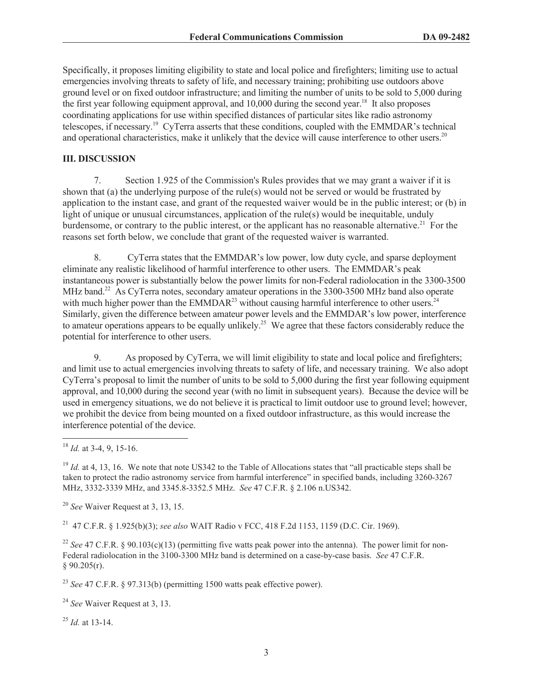Specifically, it proposes limiting eligibility to state and local police and firefighters; limiting use to actual emergencies involving threats to safety of life, and necessary training; prohibiting use outdoors above ground level or on fixed outdoor infrastructure; and limiting the number of units to be sold to 5,000 during the first year following equipment approval, and 10,000 during the second year.<sup>18</sup> It also proposes coordinating applications for use within specified distances of particular sites like radio astronomy telescopes, if necessary.<sup>19</sup> CyTerra asserts that these conditions, coupled with the EMMDAR's technical and operational characteristics, make it unlikely that the device will cause interference to other users.<sup>20</sup>

#### **III. DISCUSSION**

7. Section 1.925 of the Commission's Rules provides that we may grant a waiver if it is shown that (a) the underlying purpose of the rule(s) would not be served or would be frustrated by application to the instant case, and grant of the requested waiver would be in the public interest; or (b) in light of unique or unusual circumstances, application of the rule(s) would be inequitable, unduly burdensome, or contrary to the public interest, or the applicant has no reasonable alternative.<sup>21</sup> For the reasons set forth below, we conclude that grant of the requested waiver is warranted.

8. CyTerra states that the EMMDAR's low power, low duty cycle, and sparse deployment eliminate any realistic likelihood of harmful interference to other users. The EMMDAR's peak instantaneous power is substantially below the power limits for non-Federal radiolocation in the 3300-3500 MHz band.<sup>22</sup> As CyTerra notes, secondary amateur operations in the 3300-3500 MHz band also operate with much higher power than the EMMDAR<sup>23</sup> without causing harmful interference to other users.<sup>24</sup> Similarly, given the difference between amateur power levels and the EMMDAR's low power, interference to amateur operations appears to be equally unlikely.<sup>25</sup> We agree that these factors considerably reduce the potential for interference to other users.

9. As proposed by CyTerra, we will limit eligibility to state and local police and firefighters; and limit use to actual emergencies involving threats to safety of life, and necessary training. We also adopt CyTerra's proposal to limit the number of units to be sold to 5,000 during the first year following equipment approval, and 10,000 during the second year (with no limit in subsequent years). Because the device will be used in emergency situations, we do not believe it is practical to limit outdoor use to ground level; however, we prohibit the device from being mounted on a fixed outdoor infrastructure, as this would increase the interference potential of the device.

<sup>19</sup> *Id.* at 4, 13, 16. We note that note US342 to the Table of Allocations states that "all practicable steps shall be taken to protect the radio astronomy service from harmful interference" in specified bands, including 3260-3267 MHz, 3332-3339 MHz, and 3345.8-3352.5 MHz. *See* 47 C.F.R. § 2.106 n.US342.

<sup>20</sup> *See* Waiver Request at 3, 13, 15.

<sup>21</sup> 47 C.F.R. § 1.925(b)(3); *see also* WAIT Radio v FCC, 418 F.2d 1153, 1159 (D.C. Cir. 1969).

<sup>22</sup> *See* 47 C.F.R. § 90.103(c)(13) (permitting five watts peak power into the antenna). The power limit for non-Federal radiolocation in the 3100-3300 MHz band is determined on a case-by-case basis. *See* 47 C.F.R.  $§ 90.205(r).$ 

<sup>23</sup> *See* 47 C.F.R. § 97.313(b) (permitting 1500 watts peak effective power).

<sup>24</sup> *See* Waiver Request at 3, 13.

<sup>25</sup> *Id.* at 13-14.

<sup>18</sup> *Id.* at 3-4, 9, 15-16.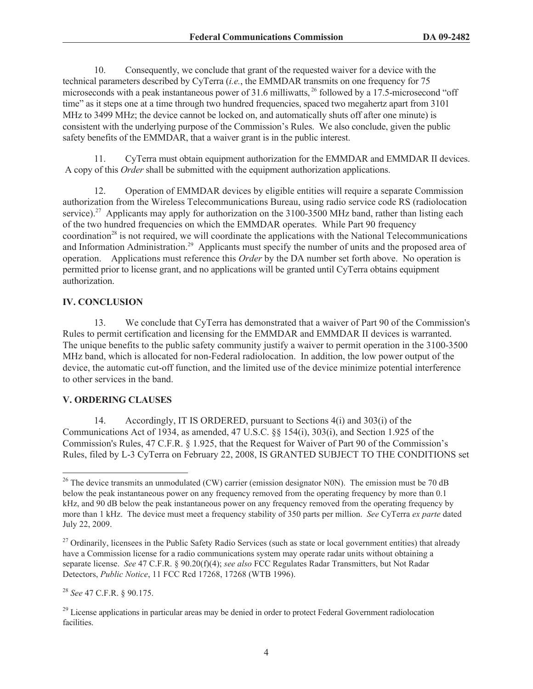10. Consequently, we conclude that grant of the requested waiver for a device with the technical parameters described by CyTerra (*i.e.*, the EMMDAR transmits on one frequency for 75 microseconds with a peak instantaneous power of 31.6 milliwatts, <sup>26</sup> followed by a 17.5-microsecond "off time" as it steps one at a time through two hundred frequencies, spaced two megahertz apart from 3101 MHz to 3499 MHz; the device cannot be locked on, and automatically shuts off after one minute) is consistent with the underlying purpose of the Commission's Rules. We also conclude, given the public safety benefits of the EMMDAR, that a waiver grant is in the public interest.

11. CyTerra must obtain equipment authorization for the EMMDAR and EMMDAR II devices. A copy of this *Order* shall be submitted with the equipment authorization applications.

12. Operation of EMMDAR devices by eligible entities will require a separate Commission authorization from the Wireless Telecommunications Bureau, using radio service code RS (radiolocation service).<sup>27</sup> Applicants may apply for authorization on the 3100-3500 MHz band, rather than listing each of the two hundred frequencies on which the EMMDAR operates. While Part 90 frequency  $coordination<sup>28</sup>$  is not required, we will coordinate the applications with the National Telecommunications and Information Administration.<sup>29</sup> Applicants must specify the number of units and the proposed area of operation. Applications must reference this *Order* by the DA number set forth above. No operation is permitted prior to license grant, and no applications will be granted until CyTerra obtains equipment authorization.

## **IV. CONCLUSION**

13. We conclude that CyTerra has demonstrated that a waiver of Part 90 of the Commission's Rules to permit certification and licensing for the EMMDAR and EMMDAR II devices is warranted. The unique benefits to the public safety community justify a waiver to permit operation in the 3100-3500 MHz band, which is allocated for non-Federal radiolocation. In addition, the low power output of the device, the automatic cut-off function, and the limited use of the device minimize potential interference to other services in the band.

# **V. ORDERING CLAUSES**

14. Accordingly, IT IS ORDERED, pursuant to Sections 4(i) and 303(i) of the Communications Act of 1934, as amended, 47 U.S.C. §§ 154(i), 303(i), and Section 1.925 of the Commission's Rules, 47 C.F.R. § 1.925, that the Request for Waiver of Part 90 of the Commission's Rules, filed by L-3 CyTerra on February 22, 2008, IS GRANTED SUBJECT TO THE CONDITIONS set

<sup>28</sup> *See* 47 C.F.R. § 90.175.

<sup>&</sup>lt;sup>26</sup> The device transmits an unmodulated (CW) carrier (emission designator N0N). The emission must be 70 dB below the peak instantaneous power on any frequency removed from the operating frequency by more than 0.1 kHz, and 90 dB below the peak instantaneous power on any frequency removed from the operating frequency by more than 1 kHz. The device must meet a frequency stability of 350 parts per million. *See* CyTerra *ex parte* dated July 22, 2009.

<sup>&</sup>lt;sup>27</sup> Ordinarily, licensees in the Public Safety Radio Services (such as state or local government entities) that already have a Commission license for a radio communications system may operate radar units without obtaining a separate license. *See* 47 C.F.R. § 90.20(f)(4); *see also* FCC Regulates Radar Transmitters, but Not Radar Detectors, *Public Notice*, 11 FCC Rcd 17268, 17268 (WTB 1996).

<sup>&</sup>lt;sup>29</sup> License applications in particular areas may be denied in order to protect Federal Government radiolocation facilities.